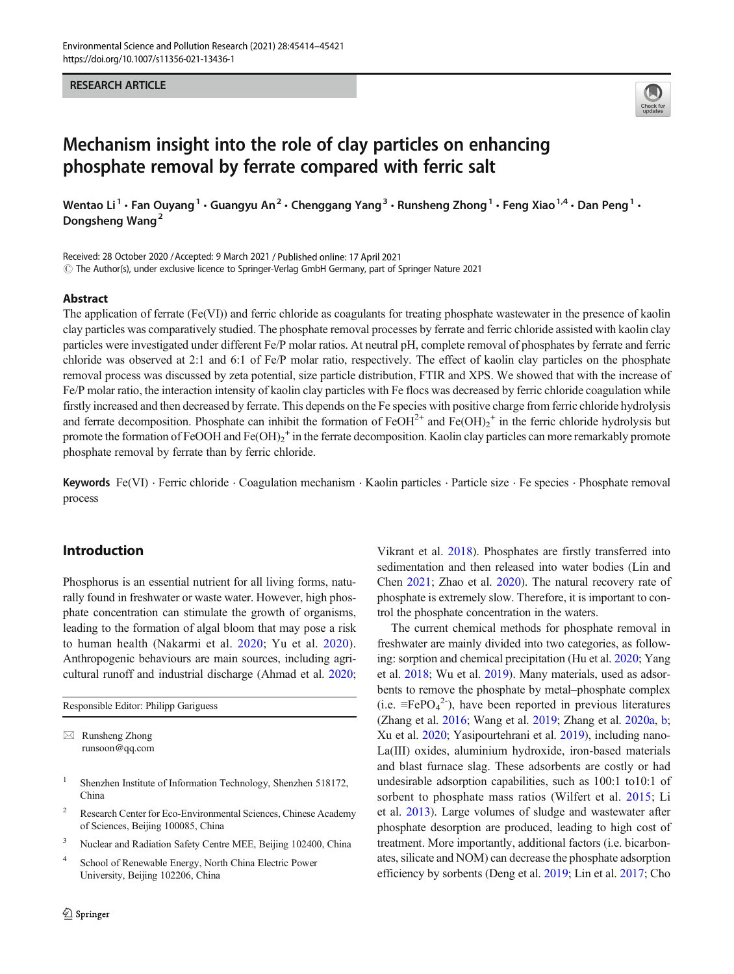# RESEARCH ARTICLE



# Mechanism insight into the role of clay particles on enhancing phosphate removal by ferrate compared with ferric salt

Wentao Li<sup>1</sup> • Fan Ouyang<sup>1</sup> • Guangyu An<sup>2</sup> • Chenggang Yang<sup>3</sup> • Runsheng Zhong<sup>1</sup> • Feng Xiao<sup>1,4</sup> • Dan Peng<sup>1</sup> • Dongsheng Wang<sup>2</sup>

Received: 28 October 2020 /Accepted: 9 March 2021 / Published online: 17 April 2021  $\degree$  The Author(s), under exclusive licence to Springer-Verlag GmbH Germany, part of Springer Nature 2021

## Abstract

The application of ferrate (Fe(VI)) and ferric chloride as coagulants for treating phosphate wastewater in the presence of kaolin clay particles was comparatively studied. The phosphate removal processes by ferrate and ferric chloride assisted with kaolin clay particles were investigated under different Fe/P molar ratios. At neutral pH, complete removal of phosphates by ferrate and ferric chloride was observed at 2:1 and 6:1 of Fe/P molar ratio, respectively. The effect of kaolin clay particles on the phosphate removal process was discussed by zeta potential, size particle distribution, FTIR and XPS. We showed that with the increase of Fe/P molar ratio, the interaction intensity of kaolin clay particles with Fe flocs was decreased by ferric chloride coagulation while firstly increased and then decreased by ferrate. This depends on the Fe species with positive charge from ferric chloride hydrolysis and ferrate decomposition. Phosphate can inhibit the formation of  $FeOH^{2+}$  and  $Fe(OH)_2^+$  in the ferric chloride hydrolysis but promote the formation of FeOOH and  $Fe(OH)_2^+$  in the ferrate decomposition. Kaolin clay particles can more remarkably promote phosphate removal by ferrate than by ferric chloride.

Keywords Fe(VI) · Ferric chloride · Coagulation mechanism · Kaolin particles · Particle size · Fe species · Phosphate removal process

# Introduction

Phosphorus is an essential nutrient for all living forms, naturally found in freshwater or waste water. However, high phosphate concentration can stimulate the growth of organisms, leading to the formation of algal bloom that may pose a risk to human health (Nakarmi et al. [2020;](#page-7-0) Yu et al. [2020](#page-7-0)). Anthropogenic behaviours are main sources, including agricultural runoff and industrial discharge (Ahmad et al. [2020](#page-6-0);

Responsible Editor: Philipp Gariguess

 $\boxtimes$  Runsheng Zhong [runsoon@qq.com](mailto:runsoon@qq.com)

- <sup>1</sup> Shenzhen Institute of Information Technology, Shenzhen 518172, China
- <sup>2</sup> Research Center for Eco-Environmental Sciences, Chinese Academy of Sciences, Beijing 100085, China
- <sup>3</sup> Nuclear and Radiation Safety Centre MEE, Beijing 102400, China
- <sup>4</sup> School of Renewable Energy, North China Electric Power University, Beijing 102206, China

Vikrant et al. [2018](#page-7-0)). Phosphates are firstly transferred into sedimentation and then released into water bodies (Lin and Chen [2021;](#page-7-0) Zhao et al. [2020\)](#page-7-0). The natural recovery rate of phosphate is extremely slow. Therefore, it is important to control the phosphate concentration in the waters.

The current chemical methods for phosphate removal in freshwater are mainly divided into two categories, as following: sorption and chemical precipitation (Hu et al. [2020](#page-7-0); Yang et al. [2018](#page-7-0); Wu et al. [2019\)](#page-7-0). Many materials, used as adsorbents to remove the phosphate by metal–phosphate complex (i.e.  $≡FePO<sub>4</sub><sup>2</sup>$ ), have been reported in previous literatures (Zhang et al. [2016;](#page-7-0) Wang et al. [2019](#page-7-0); Zhang et al. [2020a](#page-7-0), [b;](#page-7-0) Xu et al. [2020](#page-7-0); Yasipourtehrani et al. [2019](#page-7-0)), including nano-La(III) oxides, aluminium hydroxide, iron-based materials and blast furnace slag. These adsorbents are costly or had undesirable adsorption capabilities, such as 100:1 to10:1 of sorbent to phosphate mass ratios (Wilfert et al. [2015;](#page-7-0) Li et al. [2013](#page-7-0)). Large volumes of sludge and wastewater after phosphate desorption are produced, leading to high cost of treatment. More importantly, additional factors (i.e. bicarbonates, silicate and NOM) can decrease the phosphate adsorption efficiency by sorbents (Deng et al. [2019](#page-7-0); Lin et al. [2017;](#page-7-0) Cho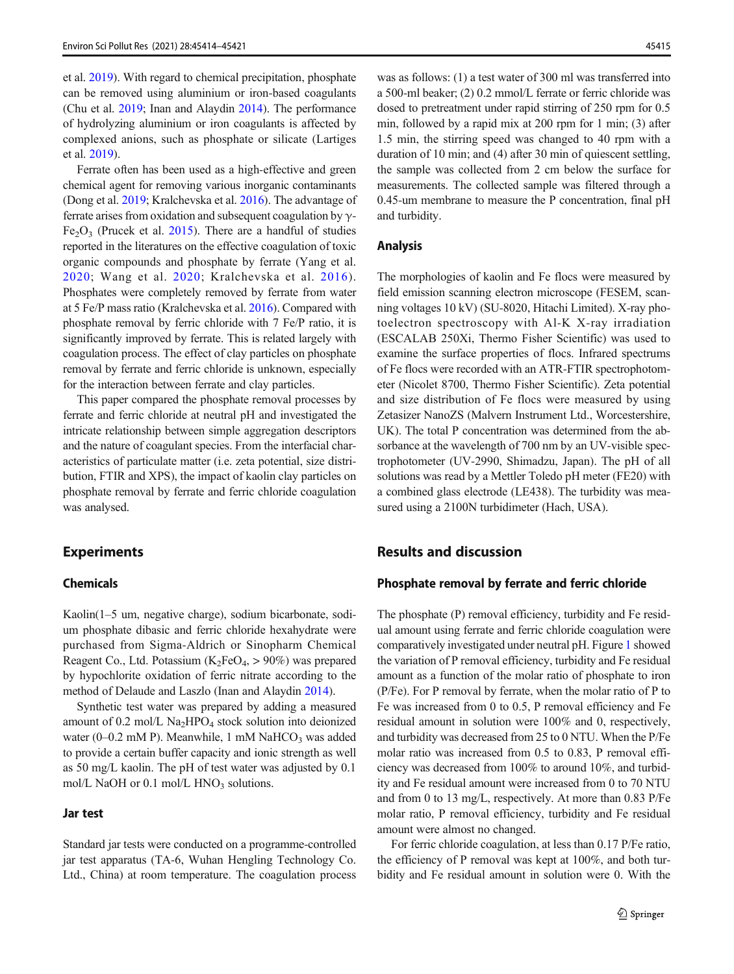et al. [2019\)](#page-6-0). With regard to chemical precipitation, phosphate can be removed using aluminium or iron-based coagulants (Chu et al. [2019;](#page-7-0) Inan and Alaydin [2014](#page-7-0)). The performance of hydrolyzing aluminium or iron coagulants is affected by complexed anions, such as phosphate or silicate (Lartiges et al. [2019](#page-7-0)).

Ferrate often has been used as a high-effective and green chemical agent for removing various inorganic contaminants (Dong et al. [2019](#page-7-0); Kralchevska et al. [2016](#page-7-0)). The advantage of ferrate arises from oxidation and subsequent coagulation by  $\gamma$ - $Fe<sub>2</sub>O<sub>3</sub>$  (Prucek et al. [2015\)](#page-7-0). There are a handful of studies reported in the literatures on the effective coagulation of toxic organic compounds and phosphate by ferrate (Yang et al. [2020;](#page-7-0) Wang et al. [2020](#page-7-0); Kralchevska et al. [2016\)](#page-7-0). Phosphates were completely removed by ferrate from water at 5 Fe/P mass ratio (Kralchevska et al. [2016\)](#page-7-0). Compared with phosphate removal by ferric chloride with 7 Fe/P ratio, it is significantly improved by ferrate. This is related largely with coagulation process. The effect of clay particles on phosphate removal by ferrate and ferric chloride is unknown, especially for the interaction between ferrate and clay particles.

This paper compared the phosphate removal processes by ferrate and ferric chloride at neutral pH and investigated the intricate relationship between simple aggregation descriptors and the nature of coagulant species. From the interfacial characteristics of particulate matter (i.e. zeta potential, size distribution, FTIR and XPS), the impact of kaolin clay particles on phosphate removal by ferrate and ferric chloride coagulation was analysed.

# Experiments

## Chemicals

Kaolin(1–5 um, negative charge), sodium bicarbonate, sodium phosphate dibasic and ferric chloride hexahydrate were purchased from Sigma-Aldrich or Sinopharm Chemical Reagent Co., Ltd. Potassium ( $K_2FeO_4$ , > 90%) was prepared by hypochlorite oxidation of ferric nitrate according to the method of Delaude and Laszlo (Inan and Alaydin [2014\)](#page-7-0).

Synthetic test water was prepared by adding a measured amount of 0.2 mol/L  $\text{Na}_2\text{HPO}_4$  stock solution into deionized water (0–0.2 mM P). Meanwhile, 1 mM NaHCO<sub>3</sub> was added to provide a certain buffer capacity and ionic strength as well as 50 mg/L kaolin. The pH of test water was adjusted by 0.1 mol/L NaOH or 0.1 mol/L  $HNO<sub>3</sub>$  solutions.

#### Jar test

Standard jar tests were conducted on a programme-controlled jar test apparatus (TA-6, Wuhan Hengling Technology Co. Ltd., China) at room temperature. The coagulation process

was as follows: (1) a test water of 300 ml was transferred into a 500-ml beaker; (2) 0.2 mmol/L ferrate or ferric chloride was dosed to pretreatment under rapid stirring of 250 rpm for 0.5 min, followed by a rapid mix at 200 rpm for 1 min; (3) after 1.5 min, the stirring speed was changed to 40 rpm with a duration of 10 min; and (4) after 30 min of quiescent settling, the sample was collected from 2 cm below the surface for measurements. The collected sample was filtered through a 0.45-um membrane to measure the P concentration, final pH and turbidity.

### Analysis

The morphologies of kaolin and Fe flocs were measured by field emission scanning electron microscope (FESEM, scanning voltages 10 kV) (SU-8020, Hitachi Limited). X-ray photoelectron spectroscopy with Al-K X-ray irradiation (ESCALAB 250Xi, Thermo Fisher Scientific) was used to examine the surface properties of flocs. Infrared spectrums of Fe flocs were recorded with an ATR-FTIR spectrophotometer (Nicolet 8700, Thermo Fisher Scientific). Zeta potential and size distribution of Fe flocs were measured by using Zetasizer NanoZS (Malvern Instrument Ltd., Worcestershire, UK). The total P concentration was determined from the absorbance at the wavelength of 700 nm by an UV-visible spectrophotometer (UV-2990, Shimadzu, Japan). The pH of all solutions was read by a Mettler Toledo pH meter (FE20) with a combined glass electrode (LE438). The turbidity was measured using a 2100N turbidimeter (Hach, USA).

# Results and discussion

### Phosphate removal by ferrate and ferric chloride

The phosphate (P) removal efficiency, turbidity and Fe residual amount using ferrate and ferric chloride coagulation were comparatively investigated under neutral pH. Figure [1](#page-2-0) showed the variation of P removal efficiency, turbidity and Fe residual amount as a function of the molar ratio of phosphate to iron (P/Fe). For P removal by ferrate, when the molar ratio of P to Fe was increased from 0 to 0.5, P removal efficiency and Fe residual amount in solution were 100% and 0, respectively, and turbidity was decreased from 25 to 0 NTU. When the P/Fe molar ratio was increased from 0.5 to 0.83, P removal efficiency was decreased from 100% to around 10%, and turbidity and Fe residual amount were increased from 0 to 70 NTU and from 0 to 13 mg/L, respectively. At more than 0.83 P/Fe molar ratio, P removal efficiency, turbidity and Fe residual amount were almost no changed.

For ferric chloride coagulation, at less than 0.17 P/Fe ratio, the efficiency of P removal was kept at 100%, and both turbidity and Fe residual amount in solution were 0. With the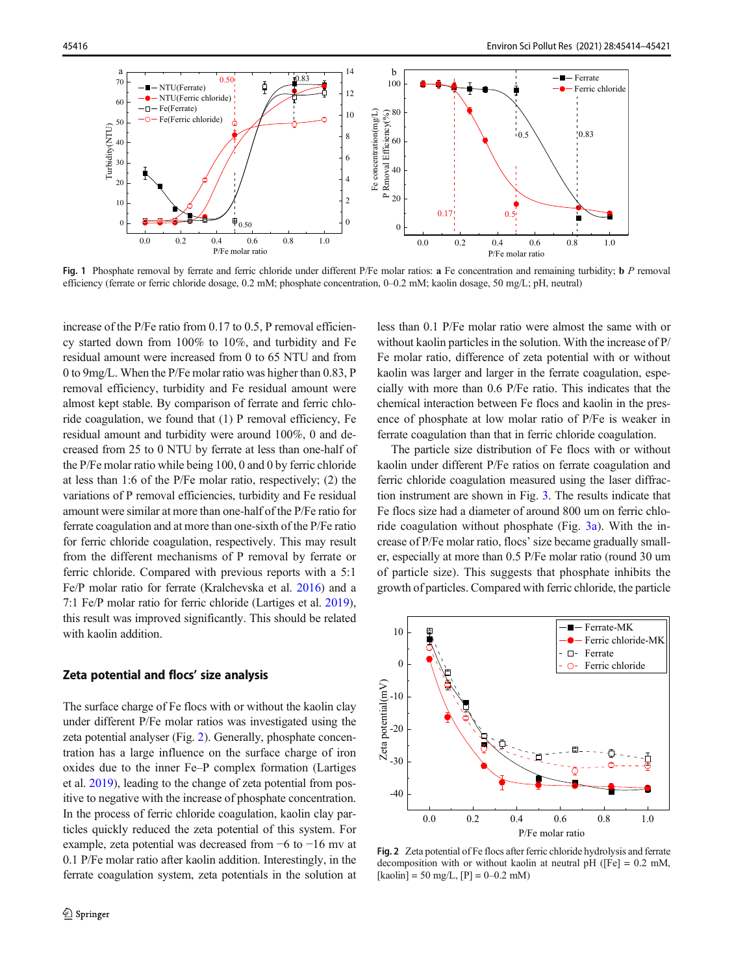<span id="page-2-0"></span>

Fig. 1 Phosphate removal by ferrate and ferric chloride under different P/Fe molar ratios: a Fe concentration and remaining turbidity; b P removal efficiency (ferrate or ferric chloride dosage, 0.2 mM; phosphate concentration, 0–0.2 mM; kaolin dosage, 50 mg/L; pH, neutral)

increase of the P/Fe ratio from 0.17 to 0.5, P removal efficiency started down from 100% to 10%, and turbidity and Fe residual amount were increased from 0 to 65 NTU and from 0 to 9mg/L. When the P/Fe molar ratio was higher than 0.83, P removal efficiency, turbidity and Fe residual amount were almost kept stable. By comparison of ferrate and ferric chloride coagulation, we found that (1) P removal efficiency, Fe residual amount and turbidity were around 100%, 0 and decreased from 25 to 0 NTU by ferrate at less than one-half of the P/Fe molar ratio while being 100, 0 and 0 by ferric chloride at less than 1:6 of the P/Fe molar ratio, respectively; (2) the variations of P removal efficiencies, turbidity and Fe residual amount were similar at more than one-half of the P/Fe ratio for ferrate coagulation and at more than one-sixth of the P/Fe ratio for ferric chloride coagulation, respectively. This may result from the different mechanisms of P removal by ferrate or ferric chloride. Compared with previous reports with a 5:1 Fe/P molar ratio for ferrate (Kralchevska et al. [2016](#page-7-0)) and a 7:1 Fe/P molar ratio for ferric chloride (Lartiges et al. [2019\)](#page-7-0), this result was improved significantly. This should be related with kaolin addition.

### Zeta potential and flocs' size analysis

The surface charge of Fe flocs with or without the kaolin clay under different P/Fe molar ratios was investigated using the zeta potential analyser (Fig. 2). Generally, phosphate concentration has a large influence on the surface charge of iron oxides due to the inner Fe–P complex formation (Lartiges et al. [2019](#page-7-0)), leading to the change of zeta potential from positive to negative with the increase of phosphate concentration. In the process of ferric chloride coagulation, kaolin clay particles quickly reduced the zeta potential of this system. For example, zeta potential was decreased from −6 to −16 mv at 0.1 P/Fe molar ratio after kaolin addition. Interestingly, in the ferrate coagulation system, zeta potentials in the solution at less than 0.1 P/Fe molar ratio were almost the same with or without kaolin particles in the solution. With the increase of P/ Fe molar ratio, difference of zeta potential with or without kaolin was larger and larger in the ferrate coagulation, especially with more than 0.6 P/Fe ratio. This indicates that the chemical interaction between Fe flocs and kaolin in the presence of phosphate at low molar ratio of P/Fe is weaker in ferrate coagulation than that in ferric chloride coagulation.

The particle size distribution of Fe flocs with or without kaolin under different P/Fe ratios on ferrate coagulation and ferric chloride coagulation measured using the laser diffraction instrument are shown in Fig. [3](#page-3-0). The results indicate that Fe flocs size had a diameter of around 800 um on ferric chloride coagulation without phosphate (Fig. [3a\)](#page-3-0). With the increase of P/Fe molar ratio, flocs' size became gradually smaller, especially at more than 0.5 P/Fe molar ratio (round 30 um of particle size). This suggests that phosphate inhibits the growth of particles. Compared with ferric chloride, the particle



Fig. 2 Zeta potential of Fe flocs after ferric chloride hydrolysis and ferrate decomposition with or without kaolin at neutral pH ( $[Fe] = 0.2$  mM,  $[kaolin] = 50$  mg/L,  $[P] = 0-0.2$  mM)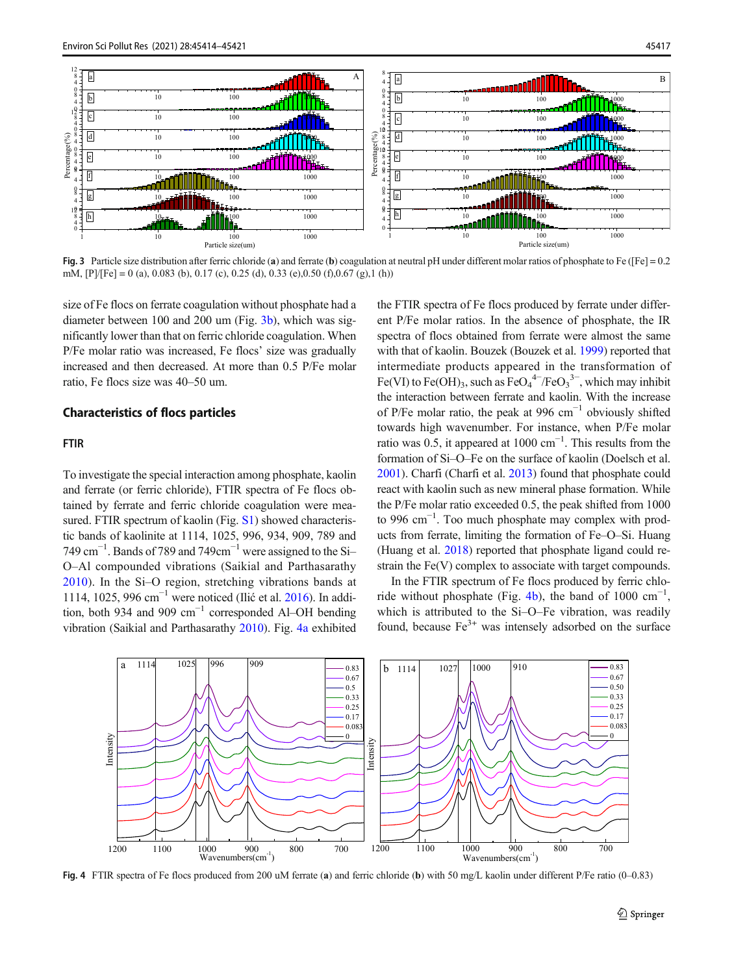<span id="page-3-0"></span>

Fig. 3 Particle size distribution after ferric chloride (a) and ferrate (b) coagulation at neutral pH under different molar ratios of phosphate to Fe ([Fe] = 0.2 mM,  $[P]/[Fe] = 0$  (a), 0.083 (b), 0.17 (c), 0.25 (d), 0.33 (e),0.50 (f),0.67 (g),1 (h))

size of Fe flocs on ferrate coagulation without phosphate had a diameter between 100 and 200 um (Fig. 3b), which was significantly lower than that on ferric chloride coagulation. When P/Fe molar ratio was increased, Fe flocs' size was gradually increased and then decreased. At more than 0.5 P/Fe molar ratio, Fe flocs size was 40–50 um.

## Characteristics of flocs particles

## FTIR

To investigate the special interaction among phosphate, kaolin and ferrate (or ferric chloride), FTIR spectra of Fe flocs obtained by ferrate and ferric chloride coagulation were measured. FTIR spectrum of kaolin (Fig. S1) showed characteristic bands of kaolinite at 1114, 1025, 996, 934, 909, 789 and 749 cm<sup>-1</sup>. Bands of 789 and 749cm<sup>-1</sup> were assigned to the Si-O–Al compounded vibrations (Saikial and Parthasarathy [2010](#page-7-0)). In the Si–O region, stretching vibrations bands at 1114, 1025, 996 cm−<sup>1</sup> were noticed (Ilić et al. [2016\)](#page-7-0). In addition, both 934 and 909  $cm^{-1}$  corresponded Al–OH bending vibration (Saikial and Parthasarathy [2010\)](#page-7-0). Fig. 4a exhibited the FTIR spectra of Fe flocs produced by ferrate under different P/Fe molar ratios. In the absence of phosphate, the IR spectra of flocs obtained from ferrate were almost the same with that of kaolin. Bouzek (Bouzek et al. [1999\)](#page-6-0) reported that intermediate products appeared in the transformation of Fe(VI) to Fe(OH)<sub>3</sub>, such as  $FeO<sub>4</sub><sup>4–</sup>/FeO<sub>3</sub><sup>3–</sup>$ , which may inhibit the interaction between ferrate and kaolin. With the increase of P/Fe molar ratio, the peak at 996  $cm^{-1}$  obviously shifted towards high wavenumber. For instance, when P/Fe molar ratio was 0.5, it appeared at  $1000 \text{ cm}^{-1}$ . This results from the formation of Si–O–Fe on the surface of kaolin (Doelsch et al. [2001\)](#page-7-0). Charfi (Charfi et al. [2013](#page-6-0)) found that phosphate could react with kaolin such as new mineral phase formation. While the P/Fe molar ratio exceeded 0.5, the peak shifted from 1000 to 996 cm−<sup>1</sup> . Too much phosphate may complex with products from ferrate, limiting the formation of Fe–O–Si. Huang (Huang et al. [2018](#page-7-0)) reported that phosphate ligand could restrain the Fe(V) complex to associate with target compounds.

In the FTIR spectrum of Fe flocs produced by ferric chloride without phosphate (Fig. 4b), the band of 1000  $cm^{-1}$ , which is attributed to the Si–O–Fe vibration, was readily found, because  $Fe<sup>3+</sup>$  was intensely adsorbed on the surface



Fig. 4 FTIR spectra of Fe flocs produced from 200 uM ferrate (a) and ferric chloride (b) with 50 mg/L kaolin under different P/Fe ratio (0–0.83)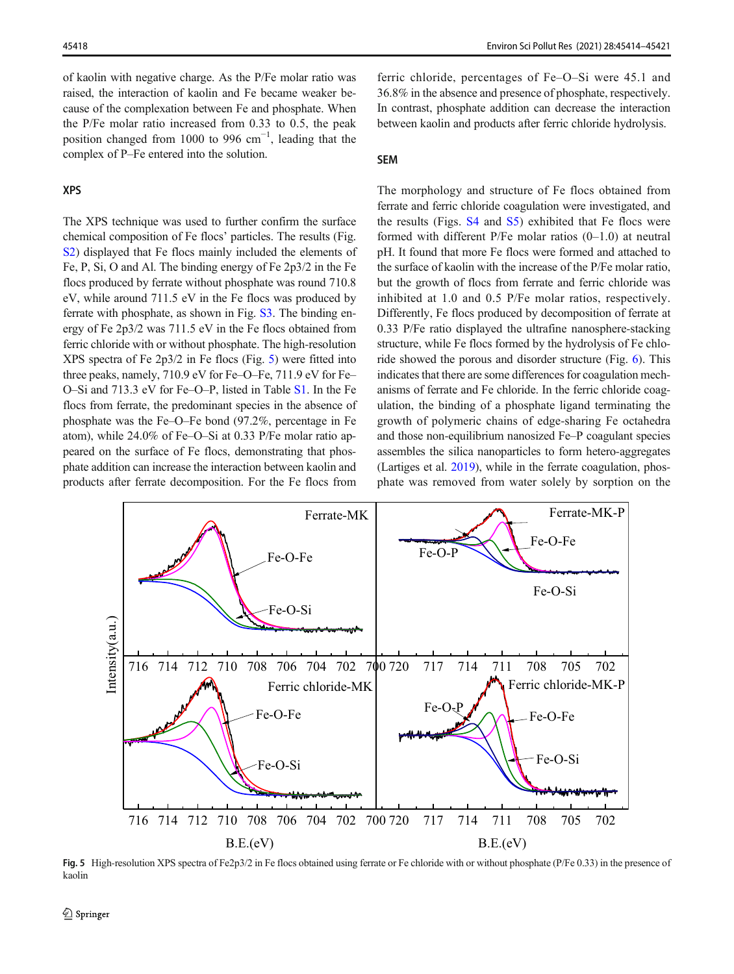of kaolin with negative charge. As the P/Fe molar ratio was raised, the interaction of kaolin and Fe became weaker because of the complexation between Fe and phosphate. When the P/Fe molar ratio increased from 0.33 to 0.5, the peak position changed from 1000 to 996  $cm^{-1}$ , leading that the complex of P–Fe entered into the solution.

#### XPS

The XPS technique was used to further confirm the surface chemical composition of Fe flocs' particles. The results (Fig. S<sub>2</sub>) displayed that Fe flocs mainly included the elements of Fe, P, Si, O and Al. The binding energy of Fe 2p3/2 in the Fe flocs produced by ferrate without phosphate was round 710.8 eV, while around 711.5 eV in the Fe flocs was produced by ferrate with phosphate, as shown in Fig. S3. The binding energy of Fe 2p3/2 was 711.5 eV in the Fe flocs obtained from ferric chloride with or without phosphate. The high-resolution XPS spectra of Fe 2p3/2 in Fe flocs (Fig. 5) were fitted into three peaks, namely, 710.9 eV for Fe–O–Fe, 711.9 eV for Fe– O–Si and 713.3 eV for Fe–O–P, listed in Table S1. In the Fe flocs from ferrate, the predominant species in the absence of phosphate was the Fe–O–Fe bond (97.2%, percentage in Fe atom), while 24.0% of Fe–O–Si at 0.33 P/Fe molar ratio appeared on the surface of Fe flocs, demonstrating that phosphate addition can increase the interaction between kaolin and products after ferrate decomposition. For the Fe flocs from

ferric chloride, percentages of Fe–O–Si were 45.1 and 36.8% in the absence and presence of phosphate, respectively. In contrast, phosphate addition can decrease the interaction between kaolin and products after ferric chloride hydrolysis.

## SEM

The morphology and structure of Fe flocs obtained from ferrate and ferric chloride coagulation were investigated, and the results (Figs. S4 and S5) exhibited that Fe flocs were formed with different P/Fe molar ratios (0–1.0) at neutral pH. It found that more Fe flocs were formed and attached to the surface of kaolin with the increase of the P/Fe molar ratio, but the growth of flocs from ferrate and ferric chloride was inhibited at 1.0 and 0.5 P/Fe molar ratios, respectively. Differently, Fe flocs produced by decomposition of ferrate at 0.33 P/Fe ratio displayed the ultrafine nanosphere-stacking structure, while Fe flocs formed by the hydrolysis of Fe chloride showed the porous and disorder structure (Fig. [6](#page-5-0)). This indicates that there are some differences for coagulation mechanisms of ferrate and Fe chloride. In the ferric chloride coagulation, the binding of a phosphate ligand terminating the growth of polymeric chains of edge-sharing Fe octahedra and those non-equilibrium nanosized Fe–P coagulant species assembles the silica nanoparticles to form hetero-aggregates (Lartiges et al. [2019\)](#page-7-0), while in the ferrate coagulation, phosphate was removed from water solely by sorption on the



Fig. 5 High-resolution XPS spectra of Fe2p3/2 in Fe flocs obtained using ferrate or Fe chloride with or without phosphate (P/Fe 0.33) in the presence of kaolin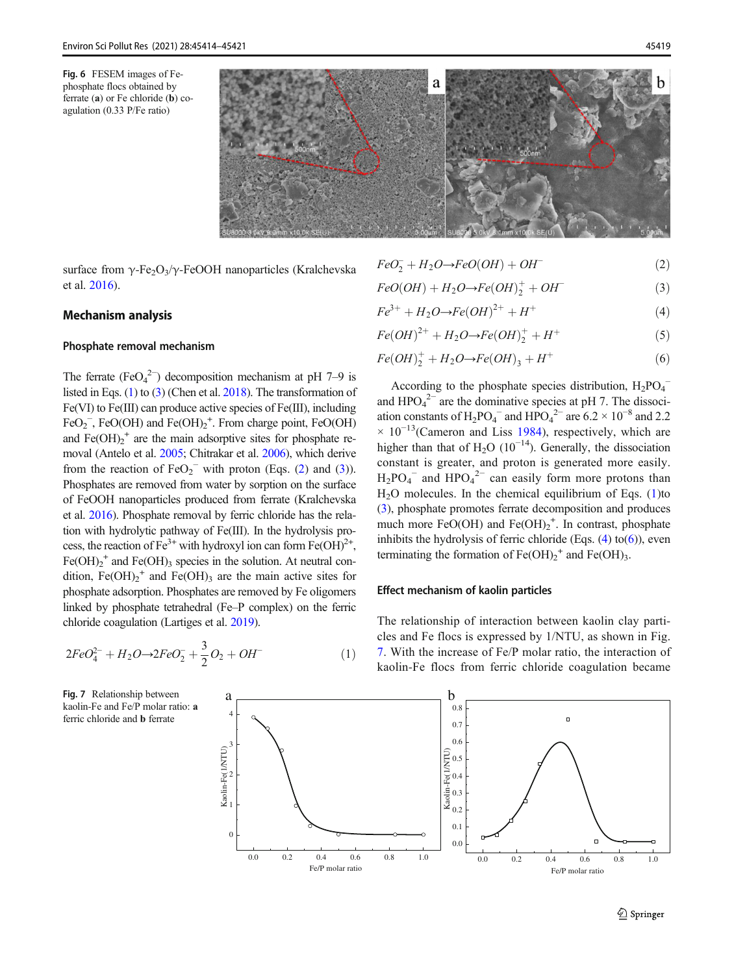<span id="page-5-0"></span>Fig. 6 FESEM images of Fephosphate flocs obtained by ferrate (a) or Fe chloride (b) coagulation (0.33 P/Fe ratio)



surface from  $\gamma$ -Fe<sub>2</sub>O<sub>3</sub>/ $\gamma$ -FeOOH nanoparticles (Kralchevska et al. [2016](#page-7-0)).

## Mechanism analysis

#### Phosphate removal mechanism

The ferrate (FeO<sub>4</sub><sup>2</sup>) decomposition mechanism at pH 7–9 is listed in Eqs. (1) to (3) (Chen et al. [2018](#page-6-0)). The transformation of Fe(VI) to Fe(III) can produce active species of Fe(III), including  $FeO<sub>2</sub>$ , FeO(OH) and Fe(OH)<sub>2</sub><sup>+</sup>. From charge point, FeO(OH) and  $\text{Fe(OH)}_2^+$  are the main adsorptive sites for phosphate removal (Antelo et al. [2005;](#page-6-0) Chitrakar et al. [2006\)](#page-6-0), which derive from the reaction of  $FeO_2^-$  with proton (Eqs. (2) and (3)). Phosphates are removed from water by sorption on the surface of FeOOH nanoparticles produced from ferrate (Kralchevska et al. [2016](#page-7-0)). Phosphate removal by ferric chloride has the relation with hydrolytic pathway of Fe(III). In the hydrolysis process, the reaction of  $Fe^{3+}$  with hydroxyl ion can form  $Fe(OH)^{2+}$ ,  $Fe(OH)<sub>2</sub>$ <sup>+</sup> and  $Fe(OH)<sub>3</sub>$  species in the solution. At neutral condition,  $Fe(OH)_2^+$  and  $Fe(OH)_3$  are the main active sites for phosphate adsorption. Phosphates are removed by Fe oligomers linked by phosphate tetrahedral (Fe–P complex) on the ferric chloride coagulation (Lartiges et al. [2019](#page-7-0)).

$$
2FeO_4^{2-} + H_2O \rightarrow 2FeO_2^- + \frac{3}{2}O_2 + OH^-
$$
 (1)

kaolin-Fe and Fe/P molar ratio: a ferric chloride and b ferrate

$$
FeO_2^- + H_2O \to FeO(OH) + OH^-
$$
 (2)

$$
FeO(OH) + H_2O \rightarrow Fe(OH)_2^+ + OH^-
$$
 (3)

$$
Fe^{3+} + H_2O \to Fe(OH)^{2+} + H^+ \tag{4}
$$

$$
Fe(OH)^{2+} + H_2O \to Fe(OH)_2^+ + H^+ \tag{5}
$$

$$
Fe(OH)_2^+ + H_2O \to Fe(OH)_3 + H^+ \tag{6}
$$

According to the phosphate species distribution,  $H_2PO_4^$ and  $HPO<sub>4</sub><sup>2–</sup>$  are the dominative species at pH 7. The dissociation constants of H<sub>2</sub>PO<sub>4</sub><sup>-</sup> and HPO<sub>4</sub><sup>2-</sup> are 6.2 × 10<sup>-8</sup> and 2.2  $\times$  10<sup>-13</sup>(Cameron and Liss [1984\)](#page-6-0), respectively, which are higher than that of H<sub>2</sub>O (10<sup>-14</sup>). Generally, the dissociation constant is greater, and proton is generated more easily.  $H_2PO_4^-$  and  $HPO_4^2^-$  can easily form more protons than  $H<sub>2</sub>O$  molecules. In the chemical equilibrium of Eqs. (1)to (3), phosphate promotes ferrate decomposition and produces much more FeO(OH) and Fe(OH)<sub>2</sub><sup>+</sup>. In contrast, phosphate inhibits the hydrolysis of ferric chloride (Eqs.  $(4)$  to $(6)$ ), even terminating the formation of  $Fe(OH)_2^+$  and  $Fe(OH)_3$ .

## Effect mechanism of kaolin particles

The relationship of interaction between kaolin clay particles and Fe flocs is expressed by 1/NTU, as shown in Fig. 7. With the increase of Fe/P molar ratio, the interaction of kaolin-Fe flocs from ferric chloride coagulation became

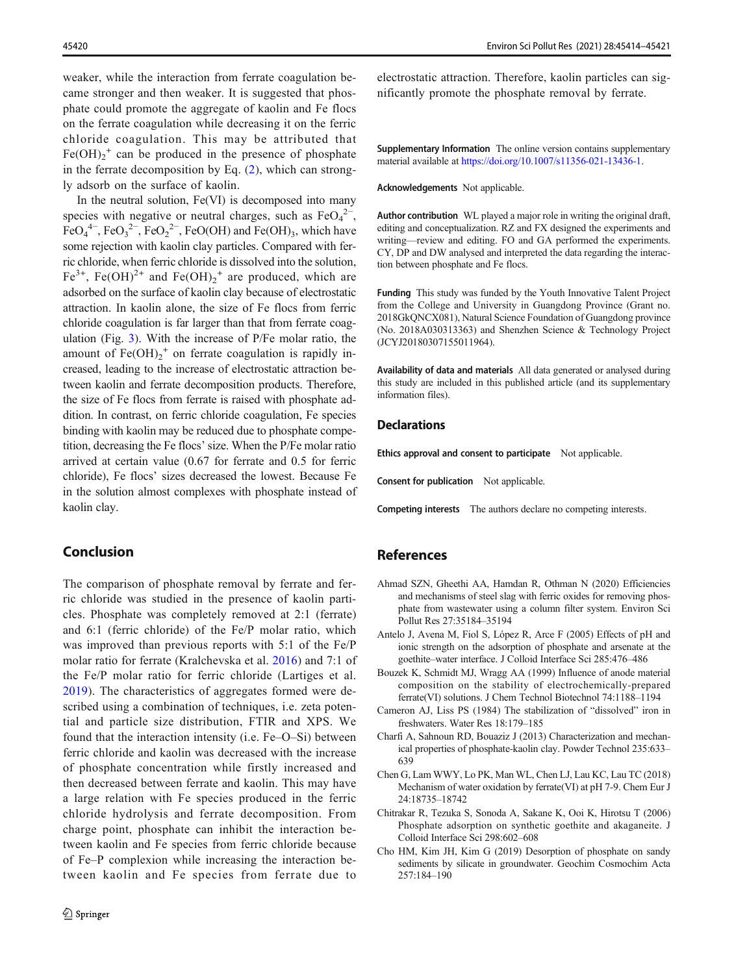<span id="page-6-0"></span>weaker, while the interaction from ferrate coagulation became stronger and then weaker. It is suggested that phosphate could promote the aggregate of kaolin and Fe flocs on the ferrate coagulation while decreasing it on the ferric chloride coagulation. This may be attributed that  $Fe(OH)<sub>2</sub><sup>+</sup>$  can be produced in the presence of phosphate in the ferrate decomposition by Eq. ([2](#page-5-0)), which can strongly adsorb on the surface of kaolin.

In the neutral solution,  $Fe(VI)$  is decomposed into many species with negative or neutral charges, such as  $FeO<sub>4</sub><sup>2−</sup>$ ,  $FeO<sub>4</sub><sup>4–</sup>$ ,  $FeO<sub>3</sub><sup>2–</sup>$ ,  $FeO<sub>2</sub><sup>2–</sup>$ ,  $FeO(OH)$  and  $Fe(OH)<sub>3</sub>$ , which have some rejection with kaolin clay particles. Compared with ferric chloride, when ferric chloride is dissolved into the solution,  $Fe^{3+}$ , Fe(OH)<sup>2+</sup> and Fe(OH)<sub>2</sub><sup>+</sup> are produced, which are adsorbed on the surface of kaolin clay because of electrostatic attraction. In kaolin alone, the size of Fe flocs from ferric chloride coagulation is far larger than that from ferrate coagulation (Fig. [3](#page-3-0)). With the increase of P/Fe molar ratio, the amount of  $Fe(OH)<sub>2</sub><sup>+</sup>$  on ferrate coagulation is rapidly increased, leading to the increase of electrostatic attraction between kaolin and ferrate decomposition products. Therefore, the size of Fe flocs from ferrate is raised with phosphate addition. In contrast, on ferric chloride coagulation, Fe species binding with kaolin may be reduced due to phosphate competition, decreasing the Fe flocs' size. When the P/Fe molar ratio arrived at certain value (0.67 for ferrate and 0.5 for ferric chloride), Fe flocs' sizes decreased the lowest. Because Fe in the solution almost complexes with phosphate instead of kaolin clay.

# Conclusion

The comparison of phosphate removal by ferrate and ferric chloride was studied in the presence of kaolin particles. Phosphate was completely removed at 2:1 (ferrate) and 6:1 (ferric chloride) of the Fe/P molar ratio, which was improved than previous reports with 5:1 of the Fe/P molar ratio for ferrate (Kralchevska et al. [2016\)](#page-7-0) and 7:1 of the Fe/P molar ratio for ferric chloride (Lartiges et al. [2019](#page-7-0)). The characteristics of aggregates formed were described using a combination of techniques, i.e. zeta potential and particle size distribution, FTIR and XPS. We found that the interaction intensity (i.e. Fe–O–Si) between ferric chloride and kaolin was decreased with the increase of phosphate concentration while firstly increased and then decreased between ferrate and kaolin. This may have a large relation with Fe species produced in the ferric chloride hydrolysis and ferrate decomposition. From charge point, phosphate can inhibit the interaction between kaolin and Fe species from ferric chloride because of Fe–P complexion while increasing the interaction between kaolin and Fe species from ferrate due to

electrostatic attraction. Therefore, kaolin particles can significantly promote the phosphate removal by ferrate.

Supplementary Information The online version contains supplementary material available at [https://doi.org/10.1007/s11356-021-13436-1.](https://doi.org/10.1007/s11356-021-13436-1)

Acknowledgements Not applicable.

Author contribution WL played a major role in writing the original draft, editing and conceptualization. RZ and FX designed the experiments and writing—review and editing. FO and GA performed the experiments. CY, DP and DW analysed and interpreted the data regarding the interaction between phosphate and Fe flocs.

Funding This study was funded by the Youth Innovative Talent Project from the College and University in Guangdong Province (Grant no. 2018GkQNCX081), Natural Science Foundation of Guangdong province (No. 2018A030313363) and Shenzhen Science & Technology Project (JCYJ20180307155011964).

Availability of data and materials All data generated or analysed during this study are included in this published article (and its supplementary information files).

#### **Declarations**

Ethics approval and consent to participate Not applicable.

Consent for publication Not applicable.

Competing interests The authors declare no competing interests.

## References

- Ahmad SZN, Gheethi AA, Hamdan R, Othman N (2020) Efficiencies and mechanisms of steel slag with ferric oxides for removing phosphate from wastewater using a column filter system. Environ Sci Pollut Res 27:35184–35194
- Antelo J, Avena M, Fiol S, López R, Arce F (2005) Effects of pH and ionic strength on the adsorption of phosphate and arsenate at the goethite–water interface. J Colloid Interface Sci 285:476–486
- Bouzek K, Schmidt MJ, Wragg AA (1999) Influence of anode material composition on the stability of electrochemically-prepared ferrate(VI) solutions. J Chem Technol Biotechnol 74:1188–1194
- Cameron AJ, Liss PS (1984) The stabilization of "dissolved" iron in freshwaters. Water Res 18:179–185
- Charfi A, Sahnoun RD, Bouaziz J (2013) Characterization and mechanical properties of phosphate-kaolin clay. Powder Technol 235:633– 639
- Chen G, Lam WWY, Lo PK, Man WL, Chen LJ, Lau KC, Lau TC (2018) Mechanism of water oxidation by ferrate(VI) at pH 7-9. Chem Eur J 24:18735–18742
- Chitrakar R, Tezuka S, Sonoda A, Sakane K, Ooi K, Hirotsu T (2006) Phosphate adsorption on synthetic goethite and akaganeite. J Colloid Interface Sci 298:602–608
- Cho HM, Kim JH, Kim G (2019) Desorption of phosphate on sandy sediments by silicate in groundwater. Geochim Cosmochim Acta 257:184–190